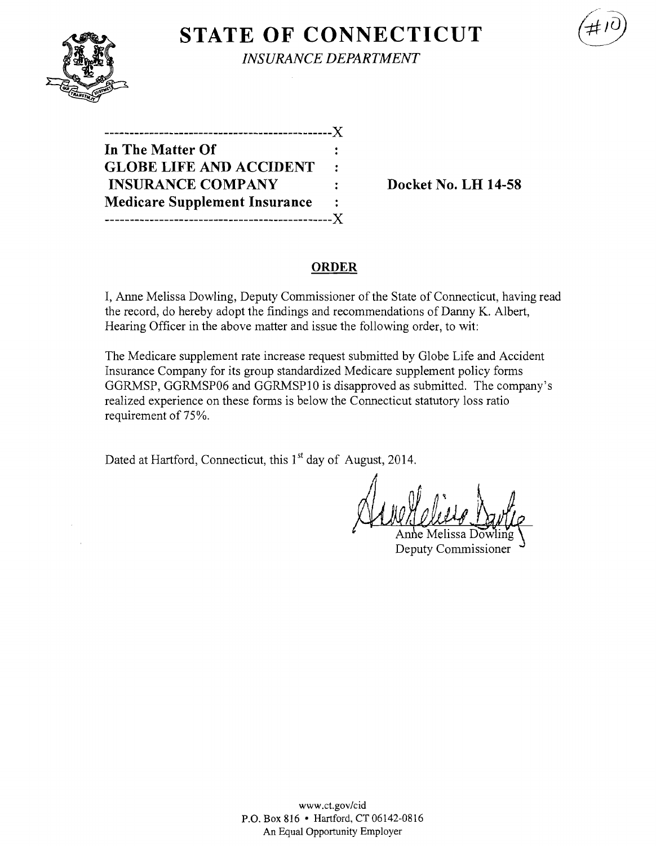**STATE OF CONNECTICUT** 

*INSURANCE DEPARTMENT* 

| ----------------------------X        |           |
|--------------------------------------|-----------|
| In The Matter Of                     |           |
| <b>GLOBE LIFE AND ACCIDENT</b>       | $\bullet$ |
| <b>INSURANCE COMPANY</b>             | ÷.        |
| <b>Medicare Supplement Insurance</b> | :         |
| .------------------------------X     |           |

**Docket No. LH 14-58** 

#### **ORDER**

I, Anne Melissa Dowling, Deputy Commissioner of the State of Connecticut, having read the record, do hereby adopt the findings and recommendations of Danny K. Albert, Hearing Officer in the above matter and issue the following order, to wit:

The Medicare supplement rate increase request submitted by Globe Life and Accident Insurance Company for its group standardized Medicare supplement policy forms GGRMSP, GGRMSP06 and GGRMSP10 is disapproved as submitted. The company's realized experience on these forms is below the Connecticut statutory loss ratio requirement of 75%.

Dated at Hartford, Connecticut, this 1<sup>st</sup> day of August, 2014.

Deputy Commissioner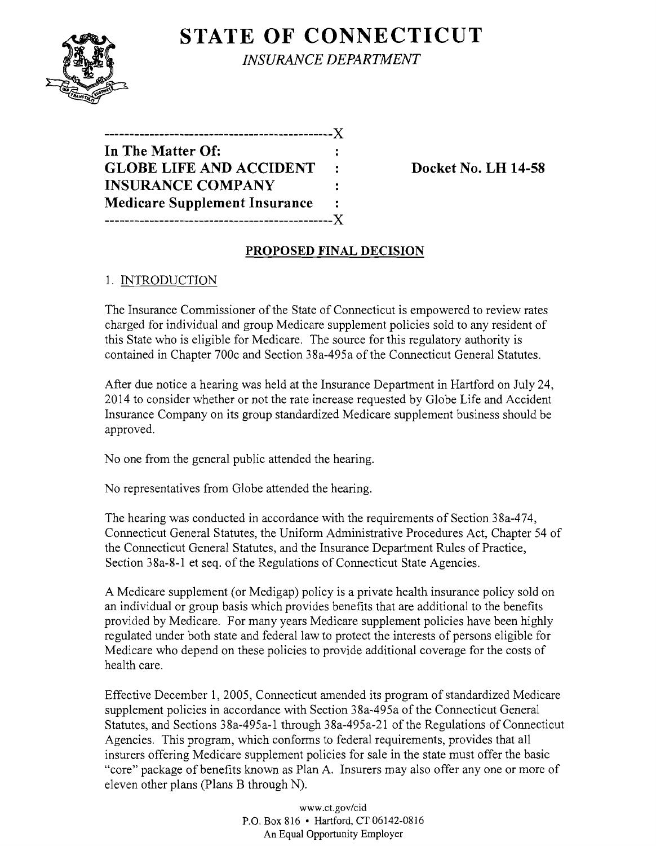# **STATE OF CONNECTICUT**



*INSURANCE DEPARTMENT* 

**----------------------------------------------)( In The Matter Of: GLOBE LIFE AND ACCIDENT** : Docket No. LH 14-58 **INSURANCE COMPANY Medicare Supplement Insurance ----------------------------------------------)(** 

### **PROPOSED FINAL DECISION**

### 1. INTRODUCTION

The Insurance Commissioner of the State of Connecticut is empowered to review rates charged for individual and group Medicare supplement policies sold to any resident of this State who is eligible for Medicare. The source for this regulatory authority is contained in Chapter 700c and Section 38a-495a of the Connecticut General Statutes.

After due notice a hearing was held at the Insurance Department in Hartford on July 24, 2014 to consider whether or not the rate increase requested by Globe Life and Accident Insurance Company on its group standardized Medicare supplement business should be approved.

No one from the general public attended the hearing.

No representatives from Globe attended the hearing.

The hearing was conducted in accordance with the requirements of Section 38a-474, Connecticut General Statutes, the Uniform Administrative Procedures Act, Chapter 54 of the Connecticut General Statutes, and the Insurance Department Rules of Practice, Section 38a-8-1 et seq. of the Regulations of Connecticut State Agencies.

A Medicare supplement (or Medigap) policy is a private health insurance policy sold on an individual or group basis which provides benefits that are additional to the benefits provided by Medicare. For many years Medicare supplement policies have been highly regulated under both state and federal law to protect the interests of persons eligible for Medicare who depend on these policies to provide additional coverage for the costs of health care.

Effective December 1, 2005, Connecticut amended its program of standardized Medicare supplement policies in accordance with Section 38a-495a of the Connecticut General Statutes, and Sections 38a-495a-1 through 38a-495a-21 of the Regulations of Connecticut Agencies. This program, which conforms to federal requirements, provides that all insurers offering Medicare supplement policies for sale in the state must offer the basic "core" package of benefits known as Plan A. Insurers may also offer anyone or more of eleven other plans (Plans B through N).

> www.ct.gov/cid P.O. Box 816 • Hartford, CT 06142-0816 An Equal Opportunity Employer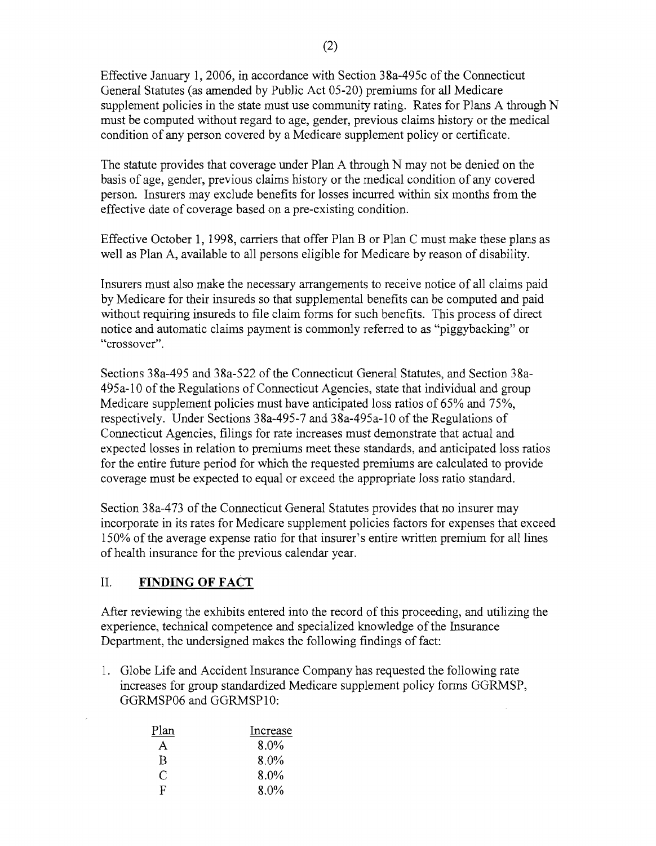Effective January 1,2006, in accordance with Section 38a-495c of the Connecticut General Statutes (as amended by Public Act 05-20) premiums for all Medicare supplement policies in the state must use community rating. Rates for Plans A through N must be computed without regard to age, gender, previous claims history or the medical condition of any person covered by a Medicare supplement policy or certificate.

The statute provides that coverage under Plan A through N may not be denied on the basis of age, gender, previous claims history or the medical condition of any covered person. Insurers may exclude benefits for losses incurred within six months from the effective date of coverage based on a pre-existing condition.

Effective October 1, 1998, carriers that offer Plan B or Plan C must make these plans as well as Plan A, available to all persons eligible for Medicare by reason of disability.

Insurers must also make the necessary arrangements to receive notice of all claims paid by Medicare for their insureds so that supplemental benefits can be computed and paid without requiring insureds to file claim forms for such benefits. This process of direct notice and automatic claims payment is commonly referred to as "piggybacking" or "crossover".

Sections 38a-495 and 38a-522 of the Connecticut General Statutes, and Section 38a-495a-lO ofthe Regulations of Connecticut Agencies, state that individual and group Medicare supplement policies must have anticipated loss ratios of 65% and 75%, respectively. Under Sections 38a-495-7 and 38a-495a-10 of the Regulations of Connecticut Agencies, filings for rate increases must demonstrate that actual and expected losses in relation to premiums meet these standards, and anticipated loss ratios for the entire future period for which the requested premiums are calculated to provide coverage must be expected to equal or exceed the appropriate loss ratio standard.

Section 38a-473 of the Connecticut General Statutes provides that no insurer may incorporate in its rates for Medicare supplement policies factors for expenses that exceed 150% of the average expense ratio for that insurer's entire written premium for all lines of health insurance for the previous calendar year.

## II. **FINDING OF FACT**

After reviewing the exhibits entered into the record ofthis proceeding, and utilizing the experience, technical competence and specialized knowledge of the Insurance Department, the undersigned makes the following findings of fact:

1. Globe Life and Accident Insurance Company has requested the following rate increases for group standardized Medicare supplement policy forms GGRMSP, GGRMSP06 and GGRMSP10:

| Plan | Increase |
|------|----------|
| A    | 8.0%     |
| R    | 8.0%     |
| C    | 8.0%     |
| R    | 8.0%     |